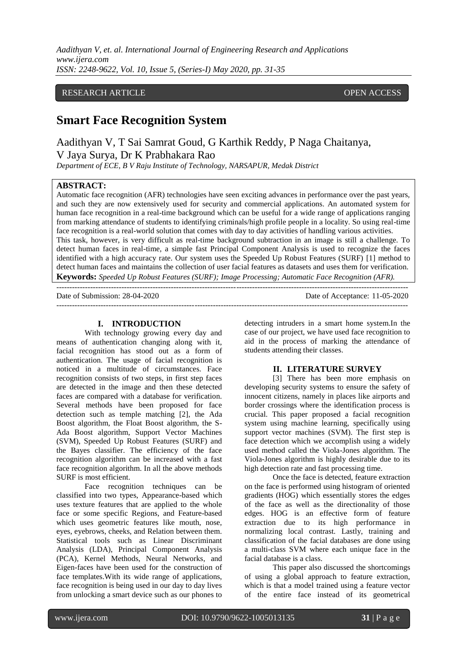*Aadithyan V, et. al. International Journal of Engineering Research and Applications www.ijera.com ISSN: 2248-9622, Vol. 10, Issue 5, (Series-I) May 2020, pp. 31-35*

## RESEARCH ARTICLE **CONSERVERS** OPEN ACCESS

# **Smart Face Recognition System**

Aadithyan V, T Sai Samrat Goud, G Karthik Reddy, P Naga Chaitanya, V Jaya Surya, Dr K Prabhakara Rao

*Department of ECE, B V Raju Institute of Technology, NARSAPUR, Medak District*

## **ABSTRACT:**

Automatic face recognition (AFR) technologies have seen exciting advances in performance over the past years, and such they are now extensively used for security and commercial applications. An automated system for human face recognition in a real-time background which can be useful for a wide range of applications ranging from marking attendance of students to identifying criminals/high profile people in a locality. So using real-time face recognition is a real-world solution that comes with day to day activities of handling various activities. This task, however, is very difficult as real-time background subtraction in an image is still a challenge. To detect human faces in real-time, a simple fast Principal Component Analysis is used to recognize the faces identified with a high accuracy rate. Our system uses the Speeded Up Robust Features (SURF) [1] method to detect human faces and maintains the collection of user facial features as datasets and uses them for verification. **Keywords:** *Speeded Up Robust Features (SURF); Image Processing; Automatic Face Recognition (AFR).* ---------------------------------------------------------------------------------------------------------------------------------------

---------------------------------------------------------------------------------------------------------------------------------------

Date of Submission: 28-04-2020 Date of Acceptance: 11-05-2020

## **I. INTRODUCTION**

With technology growing every day and means of authentication changing along with it, facial recognition has stood out as a form of authentication. The usage of facial recognition is noticed in a multitude of circumstances. Face recognition consists of two steps, in first step faces are detected in the image and then these detected faces are compared with a database for verification. Several methods have been proposed for face detection such as temple matching [2], the Ada Boost algorithm, the Float Boost algorithm, the S-Ada Boost algorithm, Support Vector Machines (SVM), Speeded Up Robust Features (SURF) and the Bayes classifier. The efficiency of the face recognition algorithm can be increased with a fast face recognition algorithm. In all the above methods SURF is most efficient.

Face recognition techniques can be classified into two types, Appearance-based which uses texture features that are applied to the whole face or some specific Regions, and Feature-based which uses geometric features like mouth, nose, eyes, eyebrows, cheeks, and Relation between them. Statistical tools such as Linear Discriminant Analysis (LDA), Principal Component Analysis (PCA), Kernel Methods, Neural Networks, and Eigen-faces have been used for the construction of face templates.With its wide range of applications, face recognition is being used in our day to day lives from unlocking a smart device such as our phones to

detecting intruders in a smart home system.In the case of our project, we have used face recognition to aid in the process of marking the attendance of students attending their classes.

#### **II. LITERATURE SURVEY**

[3] There has been more emphasis on developing security systems to ensure the safety of innocent citizens, namely in places like airports and border crossings where the identification process is crucial. This paper proposed a facial recognition system using machine learning, specifically using support vector machines (SVM). The first step is face detection which we accomplish using a widely used method called the Viola-Jones algorithm. The Viola-Jones algorithm is highly desirable due to its high detection rate and fast processing time.

Once the face is detected, feature extraction on the face is performed using histogram of oriented gradients (HOG) which essentially stores the edges of the face as well as the directionality of those edges. HOG is an effective form of feature extraction due to its high performance in normalizing local contrast. Lastly, training and classification of the facial databases are done using a multi-class SVM where each unique face in the facial database is a class.

This paper also discussed the shortcomings of using a global approach to feature extraction, which is that a model trained using a feature vector of the entire face instead of its geometrical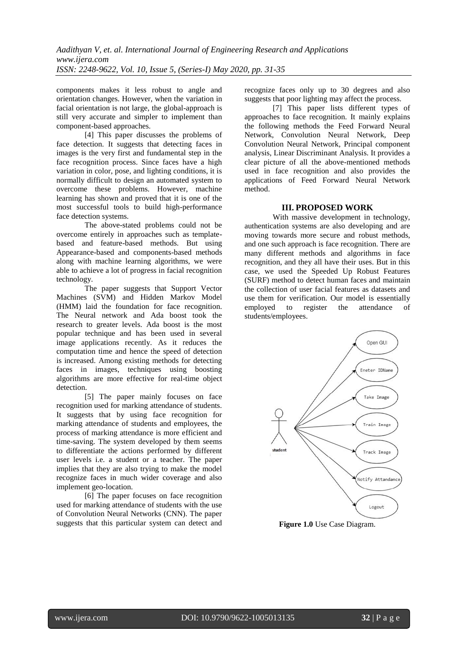components makes it less robust to angle and orientation changes. However, when the variation in facial orientation is not large, the global-approach is still very accurate and simpler to implement than component-based approaches.

[4] This paper discusses the problems of face detection. It suggests that detecting faces in images is the very first and fundamental step in the face recognition process. Since faces have a high variation in color, pose, and lighting conditions, it is normally difficult to design an automated system to overcome these problems. However, machine learning has shown and proved that it is one of the most successful tools to build high-performance face detection systems.

The above-stated problems could not be overcome entirely in approaches such as templatebased and feature-based methods. But using Appearance-based and components-based methods along with machine learning algorithms, we were able to achieve a lot of progress in facial recognition technology.

The paper suggests that Support Vector Machines (SVM) and Hidden Markov Model (HMM) laid the foundation for face recognition. The Neural network and Ada boost took the research to greater levels. Ada boost is the most popular technique and has been used in several image applications recently. As it reduces the computation time and hence the speed of detection is increased. Among existing methods for detecting faces in images, techniques using boosting algorithms are more effective for real-time object detection.

[5] The paper mainly focuses on face recognition used for marking attendance of students. It suggests that by using face recognition for marking attendance of students and employees, the process of marking attendance is more efficient and time-saving. The system developed by them seems to differentiate the actions performed by different user levels i.e. a student or a teacher. The paper implies that they are also trying to make the model recognize faces in much wider coverage and also implement geo-location.

[6] The paper focuses on face recognition used for marking attendance of students with the use of Convolution Neural Networks (CNN). The paper suggests that this particular system can detect and recognize faces only up to 30 degrees and also suggests that poor lighting may affect the process.

[7] This paper lists different types of approaches to face recognition. It mainly explains the following methods the Feed Forward Neural Network, Convolution Neural Network, Deep Convolution Neural Network, Principal component analysis, Linear Discriminant Analysis. It provides a clear picture of all the above-mentioned methods used in face recognition and also provides the applications of Feed Forward Neural Network method.

#### **III. PROPOSED WORK**

With massive development in technology, authentication systems are also developing and are moving towards more secure and robust methods, and one such approach is face recognition. There are many different methods and algorithms in face recognition, and they all have their uses. But in this case, we used the Speeded Up Robust Features (SURF) method to detect human faces and maintain the collection of user facial features as datasets and use them for verification. Our model is essentially employed to register the attendance of students/employees.



**Figure 1.0** Use Case Diagram.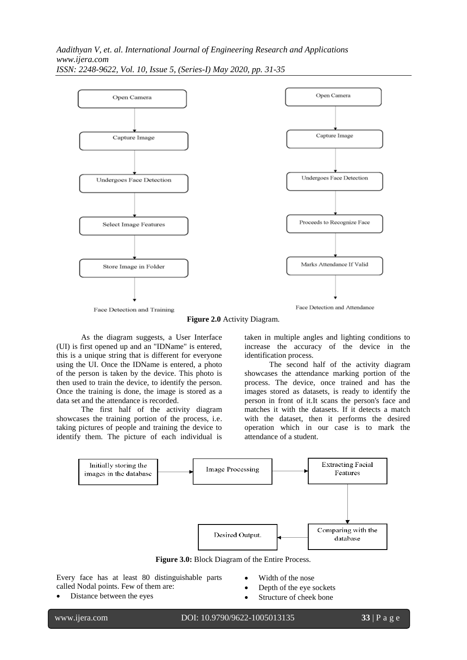*Aadithyan V, et. al. International Journal of Engineering Research and Applications www.ijera.com ISSN: 2248-9622, Vol. 10, Issue 5, (Series-I) May 2020, pp. 31-35*



**Figure 2.0** Activity Diagram.

As the diagram suggests, a User Interface (UI) is first opened up and an "IDName" is entered, this is a unique string that is different for everyone using the UI. Once the IDName is entered, a photo of the person is taken by the device. This photo is then used to train the device, to identify the person. Once the training is done, the image is stored as a data set and the attendance is recorded.

The first half of the activity diagram showcases the training portion of the process, i.e. taking pictures of people and training the device to identify them. The picture of each individual is

taken in multiple angles and lighting conditions to increase the accuracy of the device in the identification process.

The second half of the activity diagram showcases the attendance marking portion of the process. The device, once trained and has the images stored as datasets, is ready to identify the person in front of it.It scans the person's face and matches it with the datasets. If it detects a match with the dataset, then it performs the desired operation which in our case is to mark the attendance of a student.



**Figure 3.0:** Block Diagram of the Entire Process.

Every face has at least 80 distinguishable parts called Nodal points. Few of them are:

Distance between the eyes

- Width of the nose
- Depth of the eye sockets
- Structure of cheek bone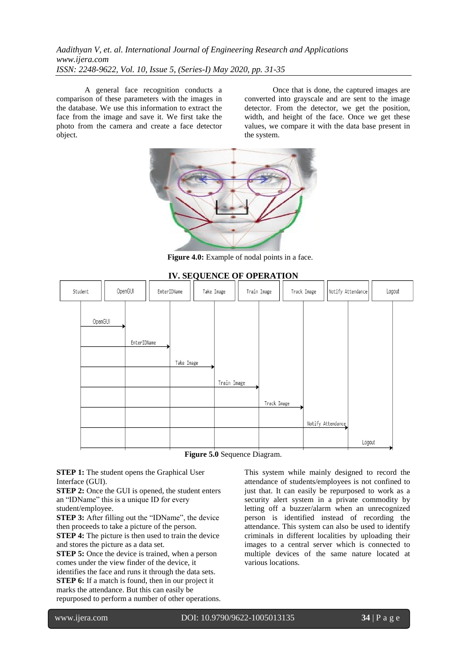*Aadithyan V, et. al. International Journal of Engineering Research and Applications www.ijera.com ISSN: 2248-9622, Vol. 10, Issue 5, (Series-I) May 2020, pp. 31-35*

A general face recognition conducts a comparison of these parameters with the images in the database. We use this information to extract the face from the image and save it. We first take the photo from the camera and create a face detector object.

Once that is done, the captured images are converted into grayscale and are sent to the image detector. From the detector, we get the position, width, and height of the face. Once we get these values, we compare it with the data base present in the system.



**Figure 4.0:** Example of nodal points in a face.



**Figure 5.0** Sequence Diagram.

**STEP 1:** The student opens the Graphical User Interface (GUI).

**STEP 2:** Once the GUI is opened, the student enters an "IDName" this is a unique ID for every

student/employee.

**STEP 3:** After filling out the "IDName", the device then proceeds to take a picture of the person. **STEP 4:** The picture is then used to train the device

and stores the picture as a data set. **STEP 5:** Once the device is trained, when a person comes under the view finder of the device, it identifies the face and runs it through the data sets.

**STEP 6:** If a match is found, then in our project it marks the attendance. But this can easily be repurposed to perform a number of other operations. This system while mainly designed to record the attendance of students/employees is not confined to just that. It can easily be repurposed to work as a security alert system in a private commodity by letting off a buzzer/alarm when an unrecognized person is identified instead of recording the attendance. This system can also be used to identify criminals in different localities by uploading their images to a central server which is connected to multiple devices of the same nature located at various locations.